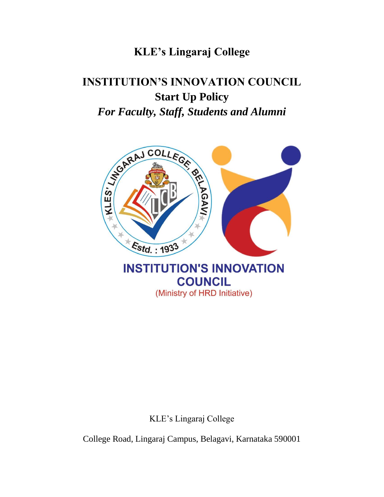## **KLE's Lingaraj College**

# **INSTITUTION'S INNOVATION COUNCIL Start Up Policy** *For Faculty, Staff, Students and Alumni*



KLE's Lingaraj College

College Road, Lingaraj Campus, Belagavi, Karnataka 590001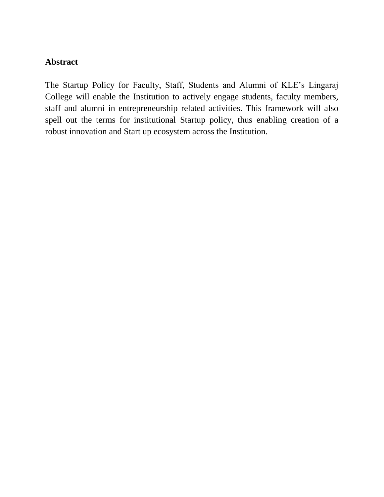#### **Abstract**

The Startup Policy for Faculty, Staff, Students and Alumni of KLE's Lingaraj College will enable the Institution to actively engage students, faculty members, staff and alumni in entrepreneurship related activities. This framework will also spell out the terms for institutional Startup policy, thus enabling creation of a robust innovation and Start up ecosystem across the Institution.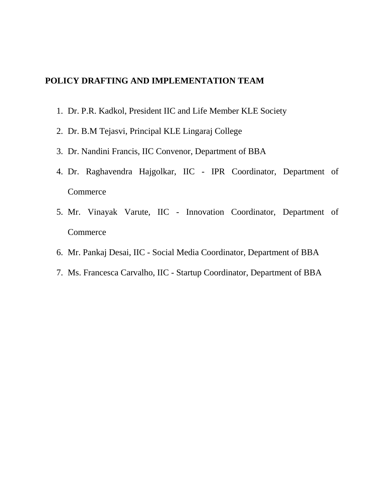#### **POLICY DRAFTING AND IMPLEMENTATION TEAM**

- 1. Dr. P.R. Kadkol, President IIC and Life Member KLE Society
- 2. Dr. B.M Tejasvi, Principal KLE Lingaraj College
- 3. Dr. Nandini Francis, IIC Convenor, Department of BBA
- 4. Dr. Raghavendra Hajgolkar, IIC IPR Coordinator, Department of **Commerce**
- 5. Mr. Vinayak Varute, IIC Innovation Coordinator, Department of **Commerce**
- 6. Mr. Pankaj Desai, IIC Social Media Coordinator, Department of BBA
- 7. Ms. Francesca Carvalho, IIC Startup Coordinator, Department of BBA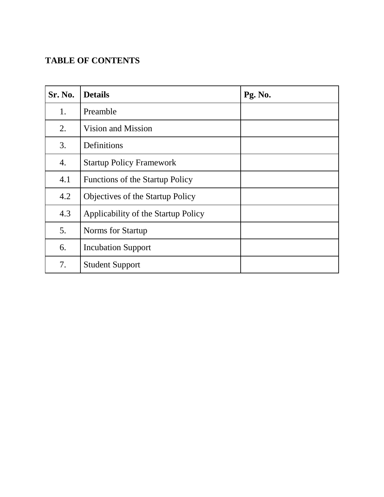## **TABLE OF CONTENTS**

| Sr. No. | <b>Details</b>                          | Pg. No. |
|---------|-----------------------------------------|---------|
| 1.      | Preamble                                |         |
| 2.      | Vision and Mission                      |         |
| 3.      | Definitions                             |         |
| 4.      | <b>Startup Policy Framework</b>         |         |
| 4.1     | <b>Functions of the Startup Policy</b>  |         |
| 4.2     | <b>Objectives of the Startup Policy</b> |         |
| 4.3     | Applicability of the Startup Policy     |         |
| 5.      | Norms for Startup                       |         |
| 6.      | <b>Incubation Support</b>               |         |
| 7.      | <b>Student Support</b>                  |         |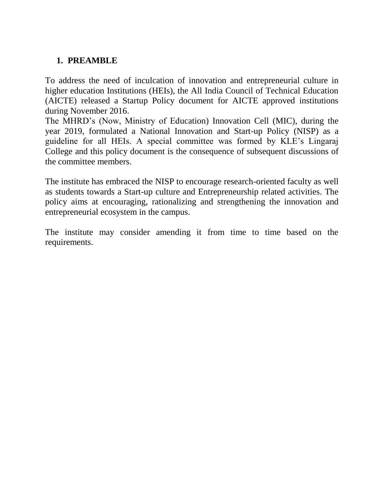#### **1. PREAMBLE**

To address the need of inculcation of innovation and entrepreneurial culture in higher education Institutions (HEIs), the All India Council of Technical Education (AICTE) released a Startup Policy document for AICTE approved institutions during November 2016.

The MHRD's (Now, Ministry of Education) Innovation Cell (MIC), during the year 2019, formulated a National Innovation and Start-up Policy (NISP) as a guideline for all HEIs. A special committee was formed by KLE's Lingaraj College and this policy document is the consequence of subsequent discussions of the committee members.

The institute has embraced the NISP to encourage research-oriented faculty as well as students towards a Start-up culture and Entrepreneurship related activities. The policy aims at encouraging, rationalizing and strengthening the innovation and entrepreneurial ecosystem in the campus.

The institute may consider amending it from time to time based on the requirements.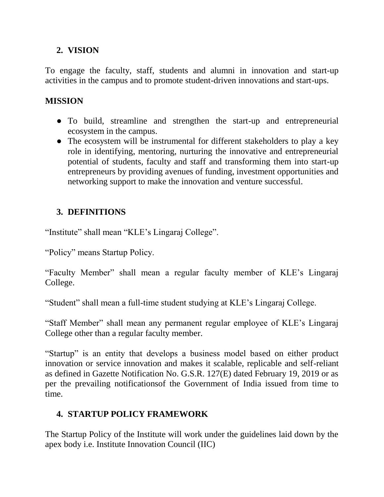#### **2. VISION**

To engage the faculty, staff, students and alumni in innovation and start-up activities in the campus and to promote student-driven innovations and start-ups.

#### **MISSION**

- To build, streamline and strengthen the start-up and entrepreneurial ecosystem in the campus.
- The ecosystem will be instrumental for different stakeholders to play a key role in identifying, mentoring, nurturing the innovative and entrepreneurial potential of students, faculty and staff and transforming them into start-up entrepreneurs by providing avenues of funding, investment opportunities and networking support to make the innovation and venture successful.

## **3. DEFINITIONS**

"Institute" shall mean "KLE's Lingaraj College".

"Policy" means Startup Policy.

"Faculty Member" shall mean a regular faculty member of KLE's Lingaraj College.

"Student" shall mean a full-time student studying at KLE's Lingaraj College.

"Staff Member" shall mean any permanent regular employee of KLE's Lingaraj College other than a regular faculty member.

"Startup" is an entity that develops a business model based on either product innovation or service innovation and makes it scalable, replicable and self-reliant as defined in Gazette Notification No. G.S.R. 127(E) dated February 19, 2019 or as per the prevailing notificationsof the Government of India issued from time to time.

## **4. STARTUP POLICY FRAMEWORK**

The Startup Policy of the Institute will work under the guidelines laid down by the apex body i.e. Institute Innovation Council (IIC)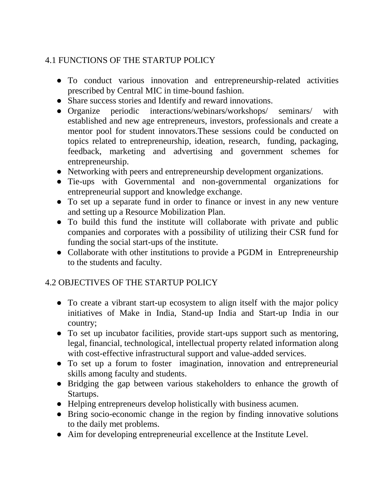### 4.1 FUNCTIONS OF THE STARTUP POLICY

- To conduct various innovation and entrepreneurship-related activities prescribed by Central MIC in time-bound fashion.
- Share success stories and Identify and reward innovations.
- Organize periodic interactions/webinars/workshops/ seminars/ with established and new age entrepreneurs, investors, professionals and create a mentor pool for student innovators.These sessions could be conducted on topics related to entrepreneurship, ideation, research, funding, packaging, feedback, marketing and advertising and government schemes for entrepreneurship.
- Networking with peers and entrepreneurship development organizations.
- Tie-ups with Governmental and non-governmental organizations for entrepreneurial support and knowledge exchange.
- To set up a separate fund in order to finance or invest in any new venture and setting up a Resource Mobilization Plan.
- To build this fund the institute will collaborate with private and public companies and corporates with a possibility of utilizing their CSR fund for funding the social start-ups of the institute.
- Collaborate with other institutions to provide a PGDM in Entrepreneurship to the students and faculty.

#### 4.2 OBJECTIVES OF THE STARTUP POLICY

- To create a vibrant start-up ecosystem to align itself with the major policy initiatives of Make in India, Stand-up India and Start-up India in our country;
- To set up incubator facilities, provide start-ups support such as mentoring, legal, financial, technological, intellectual property related information along with cost-effective infrastructural support and value-added services.
- To set up a forum to foster imagination, innovation and entrepreneurial skills among faculty and students.
- Bridging the gap between various stakeholders to enhance the growth of Startups.
- Helping entrepreneurs develop holistically with business acumen.
- Bring socio-economic change in the region by finding innovative solutions to the daily met problems.
- Aim for developing entrepreneurial excellence at the Institute Level.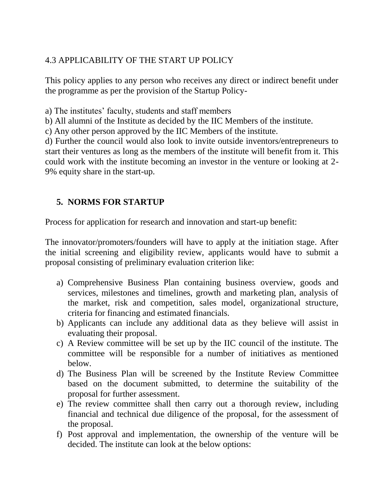#### 4.3 APPLICABILITY OF THE START UP POLICY

This policy applies to any person who receives any direct or indirect benefit under the programme as per the provision of the Startup Policy-

a) The institutes' faculty, students and staff members

b) All alumni of the Institute as decided by the IIC Members of the institute.

c) Any other person approved by the IIC Members of the institute.

d) Further the council would also look to invite outside inventors/entrepreneurs to start their ventures as long as the members of the institute will benefit from it. This could work with the institute becoming an investor in the venture or looking at 2- 9% equity share in the start-up.

#### **5. NORMS FOR STARTUP**

Process for application for research and innovation and start-up benefit:

The innovator/promoters/founders will have to apply at the initiation stage. After the initial screening and eligibility review, applicants would have to submit a proposal consisting of preliminary evaluation criterion like:

- a) Comprehensive Business Plan containing business overview, goods and services, milestones and timelines, growth and marketing plan, analysis of the market, risk and competition, sales model, organizational structure, criteria for financing and estimated financials.
- b) Applicants can include any additional data as they believe will assist in evaluating their proposal.
- c) A Review committee will be set up by the IIC council of the institute. The committee will be responsible for a number of initiatives as mentioned below.
- d) The Business Plan will be screened by the Institute Review Committee based on the document submitted, to determine the suitability of the proposal for further assessment.
- e) The review committee shall then carry out a thorough review, including financial and technical due diligence of the proposal, for the assessment of the proposal.
- f) Post approval and implementation, the ownership of the venture will be decided. The institute can look at the below options: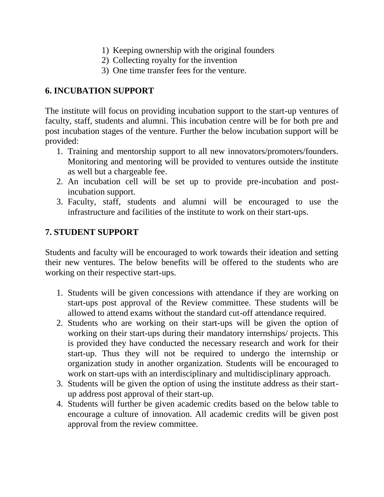- 1) Keeping ownership with the original founders
- 2) Collecting royalty for the invention
- 3) One time transfer fees for the venture.

## **6. INCUBATION SUPPORT**

The institute will focus on providing incubation support to the start-up ventures of faculty, staff, students and alumni. This incubation centre will be for both pre and post incubation stages of the venture. Further the below incubation support will be provided:

- 1. Training and mentorship support to all new innovators/promoters/founders. Monitoring and mentoring will be provided to ventures outside the institute as well but a chargeable fee.
- 2. An incubation cell will be set up to provide pre-incubation and postincubation support.
- 3. Faculty, staff, students and alumni will be encouraged to use the infrastructure and facilities of the institute to work on their start-ups.

## **7. STUDENT SUPPORT**

Students and faculty will be encouraged to work towards their ideation and setting their new ventures. The below benefits will be offered to the students who are working on their respective start-ups.

- 1. Students will be given concessions with attendance if they are working on start-ups post approval of the Review committee. These students will be allowed to attend exams without the standard cut-off attendance required.
- 2. Students who are working on their start-ups will be given the option of working on their start-ups during their mandatory internships/ projects. This is provided they have conducted the necessary research and work for their start-up. Thus they will not be required to undergo the internship or organization study in another organization. Students will be encouraged to work on start-ups with an interdisciplinary and multidisciplinary approach.
- 3. Students will be given the option of using the institute address as their startup address post approval of their start-up.
- 4. Students will further be given academic credits based on the below table to encourage a culture of innovation. All academic credits will be given post approval from the review committee.